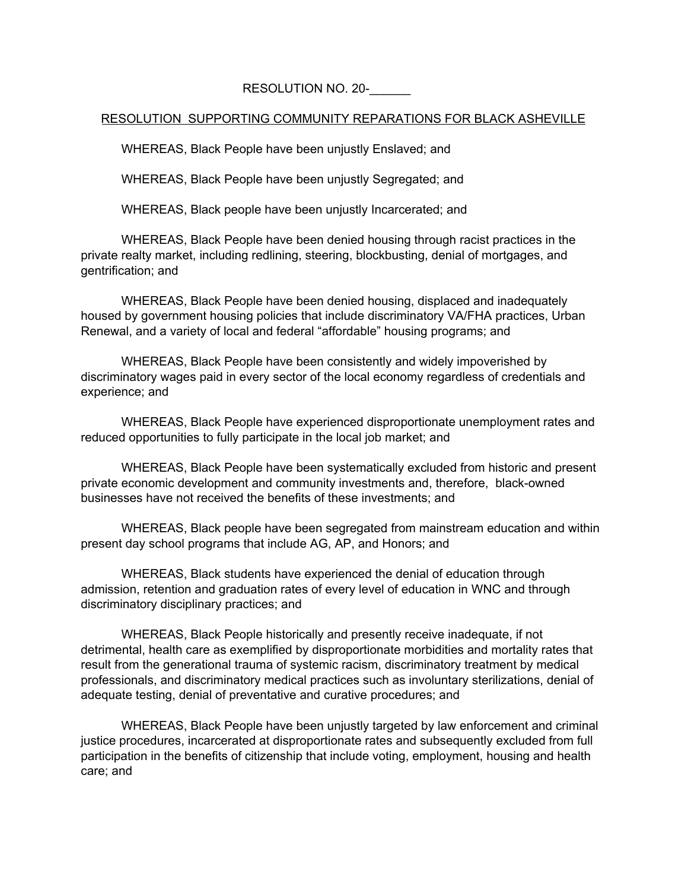## RESOLUTION NO. 20-

## RESOLUTION SUPPORTING COMMUNITY REPARATIONS FOR BLACK ASHEVILLE

WHEREAS, Black People have been unjustly Enslaved; and

WHEREAS, Black People have been unjustly Segregated; and

WHEREAS, Black people have been unjustly Incarcerated; and

WHEREAS, Black People have been denied housing through racist practices in the private realty market, including redlining, steering, blockbusting, denial of mortgages, and gentrification; and

WHEREAS, Black People have been denied housing, displaced and inadequately housed by government housing policies that include discriminatory VA/FHA practices, Urban Renewal, and a variety of local and federal "affordable" housing programs; and

WHEREAS, Black People have been consistently and widely impoverished by discriminatory wages paid in every sector of the local economy regardless of credentials and experience; and

WHEREAS, Black People have experienced disproportionate unemployment rates and reduced opportunities to fully participate in the local job market; and

WHEREAS, Black People have been systematically excluded from historic and present private economic development and community investments and, therefore, black-owned businesses have not received the benefits of these investments; and

WHEREAS, Black people have been segregated from mainstream education and within present day school programs that include AG, AP, and Honors; and

WHEREAS, Black students have experienced the denial of education through admission, retention and graduation rates of every level of education in WNC and through discriminatory disciplinary practices; and

WHEREAS, Black People historically and presently receive inadequate, if not detrimental, health care as exemplified by disproportionate morbidities and mortality rates that result from the generational trauma of systemic racism, discriminatory treatment by medical professionals, and discriminatory medical practices such as involuntary sterilizations, denial of adequate testing, denial of preventative and curative procedures; and

WHEREAS, Black People have been unjustly targeted by law enforcement and criminal justice procedures, incarcerated at disproportionate rates and subsequently excluded from full participation in the benefits of citizenship that include voting, employment, housing and health care; and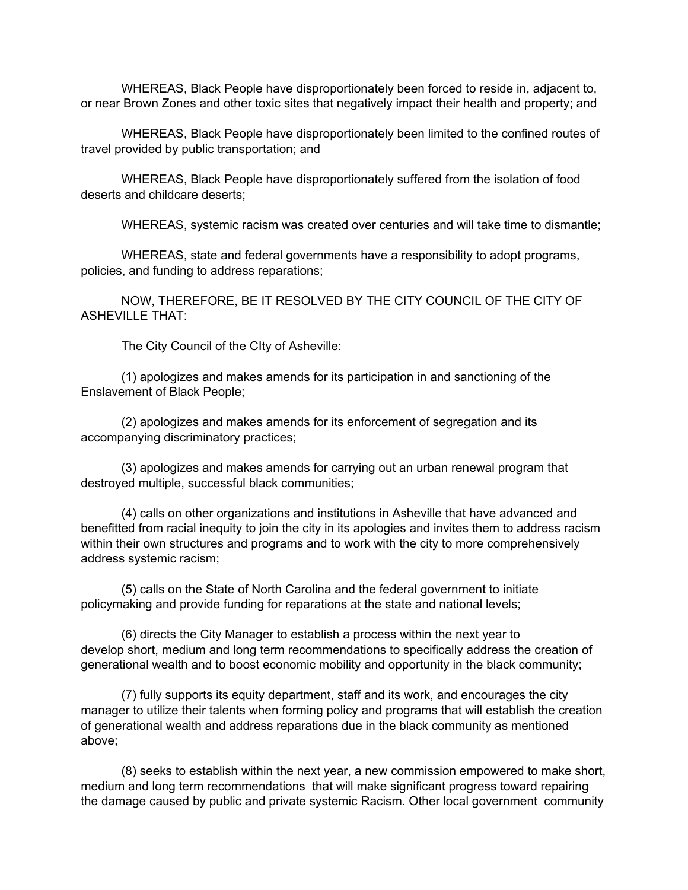WHEREAS, Black People have disproportionately been forced to reside in, adjacent to, or near Brown Zones and other toxic sites that negatively impact their health and property; and

WHEREAS, Black People have disproportionately been limited to the confined routes of travel provided by public transportation; and

WHEREAS, Black People have disproportionately suffered from the isolation of food deserts and childcare deserts;

WHEREAS, systemic racism was created over centuries and will take time to dismantle;

WHEREAS, state and federal governments have a responsibility to adopt programs, policies, and funding to address reparations;

NOW, THEREFORE, BE IT RESOLVED BY THE CITY COUNCIL OF THE CITY OF ASHEVILLE THAT:

The City Council of the CIty of Asheville:

(1) apologizes and makes amends for its participation in and sanctioning of the Enslavement of Black People;

(2) apologizes and makes amends for its enforcement of segregation and its accompanying discriminatory practices;

(3) apologizes and makes amends for carrying out an urban renewal program that destroyed multiple, successful black communities;

(4) calls on other organizations and institutions in Asheville that have advanced and benefitted from racial inequity to join the city in its apologies and invites them to address racism within their own structures and programs and to work with the city to more comprehensively address systemic racism;

(5) calls on the State of North Carolina and the federal government to initiate policymaking and provide funding for reparations at the state and national levels;

(6) directs the City Manager to establish a process within the next year to develop short, medium and long term recommendations to specifically address the creation of generational wealth and to boost economic mobility and opportunity in the black community;

(7) fully supports its equity department, staff and its work, and encourages the city manager to utilize their talents when forming policy and programs that will establish the creation of generational wealth and address reparations due in the black community as mentioned above;

(8) seeks to establish within the next year, a new commission empowered to make short, medium and long term recommendations that will make significant progress toward repairing the damage caused by public and private systemic Racism. Other local government community